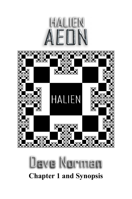



# lave Norma **Chapter 1 and Synopsis**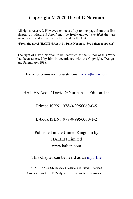#### **Copyright © 2020 David G Norman**

All rights reserved. However, extracts of up to one page from this first chapter of "HALIEN Aeon" may be freely quoted, *provided* they are *each* clearly and immediately followed by the text:

**"From the novel 'HALIEN Aeon' by Dave Norman. See halien.com/aeon"**

The right of David Norman to be identified as the Author of this Work has been asserted by him in accordance with the Copyright, Designs and Patents Act 1988.

For other permission requests, email  $\frac{\text{aeon}(a)}{\text{halien.com}}$ 

HALIEN Aeon / David G Norman Edition 1.0

#### Printed ISBN: 978-0-9956060-0-5

E-book ISBN: 978-0-9956060-1-2

### Published in the United Kingdom by HALIEN Limited www.halien.com

#### This chapter can be heard as an [mp3 file](http://www.halien.com/aeon/HaLiEn%20Aeon%20-%20Ch1.mp3)

**"HALIEN"** is a UK-registered trademark of **David G Norman** Cover artwork by TEN dynamiX www[.tendynamix.com](http://www.tendynamix.com/)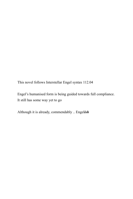This novel follows Interstellar Engel syntax 112.04

Engel's humanised form is being guided towards full compliance. It still has some way yet to go

Although it is already, commendably .. Engel*ish*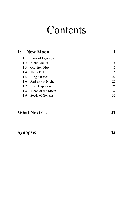# **Contents**

| 1:            | <b>New Moon</b>       |    |
|---------------|-----------------------|----|
|               | 1.1 Lairs of Lagrange | 3  |
| $1.2^{\circ}$ | Moon Maker            | 6  |
|               | 1.3 Graviton Flux     | 12 |
| 1.4           | Theia Fall            | 16 |
| 1.5           | Ring o'Roses          | 20 |
|               | 1.6 Red Sky at Night  | 23 |
| 1.7           | High Hyperion         | 26 |
| 1.8           | Moon of the Moon      | 32 |
| 1.9           | Seeds of Genesis      | 35 |

## **What Next? … [41](#page-46-0)**

**Synopsis [42](#page-47-0)**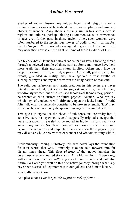#### *Author Foreword*

Studies of ancient history, mythology, legend and religion reveal a myriad strange stories of fantastical events, sacred places and amazing objects of wonder. Many show surprising similarities across diverse regions and cultures, perhaps hinting at common cause or provenance in ages even further past. In those ancient times, such wonders were often attributed to the mysterious moves of godly intent .. or, maybe, just to 'magic'. Yet mankind's ever-greater grasp of Universal Truth may now shed new scientific light on some of those Oddities of Old.

*"HALIEN Aeon"* launches a novel series that weaves a twisting thread through a selected sample of those stories. Some may once have held more truth than their mystical status implies. Others may hide far deeper meaning than is, at first, apparent. Above all, just a few global events, grounded in reality, may have sparked a vast swathe of subsequent myths and mysteries within the imagination of mankind.

The religious references and reinterpretation in this series are never intended to offend, but rather to suggest means by which many wondrously worded but oft-dismissed theological themes may, perhaps, be reconciled with current or future physical science. Who can say which keys of conjecture will ultimately open the locked safe of truth? After all, what we currently consider to be proven scientific 'fact' may, someday, be cast as merely the quaint musings of misguided belief.

This quest to crystallise the chaos of sub-conscious creativity into a cohesive story has spawned several supposedly original concepts that were subsequently revealed to be rooted in hidden historic reality or ancient mythology. So please conduct your own research into *and beyond* the scenarios and snippets of science upon these pages .. you may discover whole new worlds of wonder and wisdom waiting within!

Predominantly probing *pre*history, this first novel lays the foundation for later works that will, ultimately, take the tale forward into far distant times ahead. This **first** *chapter* of that novel launches the outermost of several nested story arcs. All told, the HALIEN pentalogy will encompass over ten *billion* years of past, present and potential future. So I wish you well on this alternative journey through what *may* have been a series of key moments in our galactic and human history.

You really never know!

And please don't ever forget. *It's all just a work of fiction* …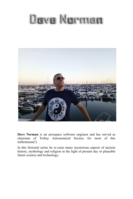# Dave Norman



**Dave Norman** is an aerospace software engineer and has served as chairman of Torbay Astronomical Society for most of this millennium(!).

In this fictional series he re-casts many mysterious aspects of ancient history, mythology and religion in the light of present day or plausible future science and technology.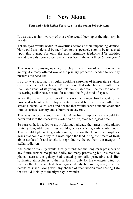## <span id="page-6-0"></span>**1: New Moon**

#### **Four and a half** *billion* **Years Ago - in the young Solar System**

It was truly a sight worthy of those who would look up at the night sky in wonder.

Yet no eyes would widen in awestruck terror at their impending demise. Nor would a single soul be sacrificed to the spectacle soon to be unleashed upon this planet. For only the most primitive *Ha*dronic *Li*fe *En*tities would grace its about-to-be renewed surface in the next three *billion* years!

This was a promising new world. One in a million of a trillion in the galaxy, it already offered *two* of the primary properties needed to one day nurture advanced life.

Its orbit was reasonably circular, avoiding extremes of temperature swings over the course of each year. Furthermore, that orbit lay well within the 'habitable zone' of its young and relatively stable star .. neither too near to its searing stellar heat, nor too far out into the frigid void of space.

When the frenetic formation of this system's planets finally abated, the universal solvent of life .. liquid water .. would be free to flow within the streams, rivers, lakes, seas and oceans that would carve aqueous character into its surface scenery and subterranean caverns.

This was, indeed, a good start. But *three* basic improvements would far better suit it to the successful evolution of life, over geological time.

To start with, it needed to grow. Although already the largest rocky planet in its system, additional mass would give its surface gravity a vital boost. That would tighten its gravitational grip upon the tenuous atmospheric gases that could one day rain water upon the land, bring the breath of fresh air to surface life and shield its reproductive frenzy from the ravages of stellar radiation.

Atmospheric stability would greatly strengthen the long-term prospects of any future surface biosphere. Sadly, too many promising but less massive planets across the galaxy had vented potentially protective and lifesustaining atmospheres to their surfaces .. only for the energetic winds of their stellar hosts to blast those gases, slowly but surely, away into the depths of space. Along with any chance of such worlds ever hosting Life that would look up at the night sky in wonder …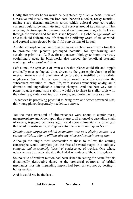Oddly, this world's hopes would be heightened by a *heavy* heart! It craved a massive and mostly molten iron core, beneath a cooler, rocky mantle .. raising steep thermal gradients across which colossal core convection currents could surge and twist into vast vortices around its axial spin. That whirling electromagnetic dynamo would cast immense magnetic fields up through the surface and far into space beyond .. a global '*magnetosphere'* able to shield delicate new life from the sterilising wrath of stellar winds and coronal mass ejected by the fitful convulsions of its star.

A stable atmosphere and an extensive magnetosphere would work together to promote this planet's prolonged potential for synthesizing and sustaining primitive life. But, for any nascent biology to boom over truly evolutionary ages, its birth-world also needed the beneficial seasonal soothing .. of an *axial stabiliser*.

Left alone, the spin axis of even a sizeable planet could tilt and topple erratically over geological time, driven by the gyroscopic churning of its internal materials and gravitational perturbations instilled by its orbital neighbours. Such chronic axial chaos would severely constrain the subsequent evolution of latent life, with seasons wandering wildly, amid dramatic and unpredictable climatic changes. And the best way for a planet to gain eternal spin stability would be to share its stellar orbit with the calming gravitational tug .. of a single, substantial, *natural* satellite.

To achieve its promising potential to bring forth and foster advanced Life, this young planet desperately needed ... *a Moon.*

Yet the most *un*natural of circumstances were about to confer mass, magnetosphere and Moon upon this planet .. all at once! A cascading chain of events, triggered centuries ago, would soon culminate in a cataclysm that would transform its *geological* nature to benefit *biological* Nature.

*Looming ever larger, an orbital companion was on a closing course to a cosmic collision, akin to billions already witnessed by their young star.* 

Although the single most spectacular of those to follow, the coming catastrophe would complete just the first of several stages in a uniquely complex *and consciously 'creative'* coalescence of worlds. One whose outcome was deemed critical to the HaLiEn heritage of the entire galaxy.

So, no relic of random motion had been risked in setting the scene for this dynamically destructive dance to the orchestral overtones of orbital mechanics. For this impending impact had been driven, not by destiny .. but *by design.* 

And it would *not* be the last ...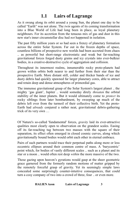## <span id="page-8-0"></span> **1.1 Lairs of Lagrange**

As it swung along its orbit around a young Sun, the planet one day to be called "Earth" was not alone. The *twin* agents of its coming transformation into a Blue World of Life had long been in place, as loyal planetary neighbours. For its accretion from the tenuous mix of gas and dust in this new star's inner circumstellar disc had *not* happened in isolation.

The past fifty million years or so had seen a frenzy of planetary formation across the entire Solar System. Far out in the frozen depths of space, countless billions of prospective new worlds had been accreted from chaos .. as powerful but short-range electrostatic and weak but far-reaching gravitational forces forged dusty grains and icy crystals into ever-bulkier bodies, in a creative-destructive cycle of aggregation and collision.

Throughout its innermost realms, innumerable rocky proto-planets had grown within orbits both nearer to and further from their star than the prospective Earth. More distant still, colder and thicker bands of ice and dusty debris had quickly spawned far larger planetary cores, able to attract and retain deep and dense atmospheres of primordial gas.

The immense gravitational grasp of the Solar System's largest planet .. the mighty 'gas giant', Jupiter .. would someday direly *threaten* the orbital stability of the inner planets. But it would ultimately come to *protect* its rocky siblings from later bombardment, by sweeping up much of the debris left over from the turmoil of their collective birth. Yet the proto-Earth had *already* conjured a rather neat, gravitational debris-gathering trick of its very own …

Of Nature's so-called 'fundamental' forces, *gravity* laid its ever-attractive qualities most clearly open to observation on the grandest scales. Easing off its far-reaching tug between two masses with the square of their separation, its effect often emerged in closed cosmic curves, along which gravitationally bound bodies would orbit each other in eternal embrace.

Pairs of such partners would trace their perpetual paths along more or less eccentric ellipses around their common centre of mass. A 'barycentric' point which, for bodies of vastly different scales .. such as a planet and its star or a moon .. would often rest deep *within* the more massive of the two.

Those gazing upon heaven's gyrations would gasp at the sheer geometric grace garnered from the formerly random motions of matter gripped by the remotely forceful grasp of gravity. Yet its seemingly simple laws concealed some surprisingly counter-intuitive consequences, that could turn a cosy company of two into a crowd of three, four .. or even more.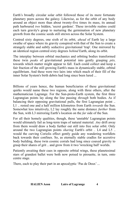Earth's broadly circular solar orbit followed those of its more fortunate planetary peers across the galaxy. Likewise, as for the orbit of any body around an object more than about twenty-five times its mass, its annual path harboured *two* hidden, 'secret gardens'. These invisible realms could each turn gravity's grasp to nurturing the germination of new planetary growth from the cosmic seeds still strewn across the Solar System.

Centred sixty degrees, one sixth of its orbit, *ahead* of Earth lay a large swathe of space where its gravity conspired with that of the Sun to create a strangely stable and subtly seductive gravitational 'trap'. One mirrored by an identical region centred sixty degrees *behind* Earth, along its orbit.

The interplay between orbital mechanics and orbiting bodies transformed these twin *peaks* of gravitational potential into gently grasping *pits,* towards which matter might appear to fall*.* Each could collect and keep a fair fraction of the still growing Earth's mass in dynamically stable, orbital equilibrium. And these were two lairs into which much of their fill of the inner Solar System's birth debris had long since been lured ...

Billions of years hence, the human beneficiaries of these gravitational quirks would name these two regions, along with three others, after the mathematician Lagrange. For the Sun-proto-Earth system, the first three Lagrangian points lay along the line passing *through* both bodies. As if balancing their opposing gravitational pulls, the first Lagrangian point .. L1 .. rested one and a half million kilometres from Earth *towards* the Sun. Somewhat less intuitively, L2 lay roughly the same distance *further* from the Sun, with L3 mirroring Earth's location on the *far* side of the Sun.

For all their homely qualities, though, these 'unstable' Lagrangian points would ultimately fail as long-term traps of natural material. *Any* drift away from them would draw a body further out still into free solar orbit. Only around the two Lagrangian points *sharing* Earth's orbit *..* L4 and L5 .. would the curving Coriolis effect gently guide any wandering worldlets back towards their confines. So, as eternally stable cradles for accretive body building, these twin cosmic corrals had long since coaxed gravity to grasp their shares of grit .. and grow from it two 'wrecking ball' worlds.

Patiently awaiting their cues in opposite orbital wings, these planetesimal stars of grandest ballet were both now poised to pirouette, in turn, onto centre stage.

There, each to play their part in an apocalyptic 'Pas de Deux'...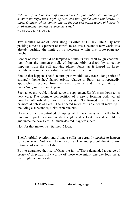*"Mother of the Sun, Theia of many names, for your sake men honour gold as more powerful than anything else; and through the value you bestow on them, O queen, ships contending on the sea and yoked teams of horses in swift-whirling contests become marvels."*

The Fifth Isthmian Ode of Pindar

Two months *ahead* of Earth along its orbit, at L4, lay **Theia**. By now packing almost six percent of Earth's mass, this substantial new world was already pushing the limit of its welcome within this proto-planetary crèche.

Sooner or later, it would be tempted out into its own orbit by gravitational tugs from the immense bulk of Jupiter. Ably assisted by attractive impulses from the still growing planet Venus, as it lapped its larger neighbour from the next orbit inward towards the Sun.

Should that happen, Theia's natural path would likely trace a long series of strangely 'horse-shoe'-shaped orbits, relative to Earth, as it repeatedly approached, recoiled from, returned towards and finally, fatally *.. impacted upon* its 'parent' planet!

Such an event would, indeed, serve to supplement Earth's mass down to its very core. The ultimate composition of a newly forming body varied broadly with orbital distance from its star. So, formed from the same primordial debris as Earth, Theia shared much of its elemental make-up .. including a substantial, nickel-iron nucleus.

However, the uncontrolled dumping of Theia's mass with effectively random impact location, incident angle and velocity would *not* likely guarantee the new Earth its much-desired magnetosphere.

Nor, for that matter, its vital new Moon.

Theia's orbital eviction and ultimate collision certainly *needed* to happen someday soon. Not least, to remove its clear and present threat to any future sparks of earthly Life.

But, to guarantee the rise of Gaia, the fall of Theia demanded a degree of *designed* direction truly worthy of those who might one day look up at their night sky in wonder ...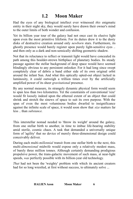#### <span id="page-11-0"></span> **1.2 Moon Maker**

Had the eyes of any biological intellect ever witnessed *this* enigmatic entity in their night sky, they would surely have drawn their owner's mind to the outer limits of both wonder and confusion.

Yet its billion year tour of the galaxy had not once cast its elusive light upon even the most primitive lifeform. For its duties drew it to the dusty disks of destructive creation around only *newborn* stars. Furthermore, its ghostly presence would barely register upon purely light-sensitive eyes .. and then only as a dark and non-sensically shifting geometric shadow.

Not that its reluctance to reflect or transmit light would have concealed its path among this boulder-strewn birthplace of planetary bodies. Its steady passage against the stellar background of deep space would have seemed blindingly obvious to any persistent onlooker. For it had long since swept completely clear of debris a band either side of its own original orbit around the infant Sun. And what this optically opted-out object lacked in luminosity, it could outweigh a trillion times over by the artificially amplified power of its sheer *gravitational* presence.

By any normal measure, its strangely dynamic physical form would seem to span less than two kilometres. Yet the constraints of conventional 'size' would fit loosely indeed upon the ethereal extent of an object that could shrink and stretch the sinews of space to suit its own purpose. With the span of even the most voluminous bodies dwarfed to insignificance against the infinite scale of space, it would soon show that *size* matters far less .. than *substance.*

This interstellar nomad needed to 'throw its weight' around the galaxy, from one stellar birth to another, in time to imbue life-bearing stability amid sterile, cosmic chaos. A task that demanded a universally unique form of 'agility' that no device of merely three-dimensional design could conceivably deliver.

During each multi-*millennial* transit from one stellar birth to the next, this multi-*dimensional* midwife would expose only a relatively modest mass, of barely three million tonnes. Although certainly demanding prodigious propulsive power, the trans-galactic movement of such mass, at near-light speeds, *was* perfectly possible with its billion-year old technology.

*That* had not been the 'weighty' problem with which its ancient creators had for so long wrestled, at first without success, to ultimately solve ...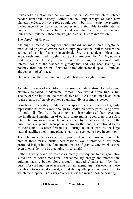It was not the motion, but the *magnitude* of its mass over which this object needed unnatural mastery. Within the colliding carnage of each new planetary crèche, only one force could gently but firmly coax the *creative* coalescence of so many sterile bodies into a few able to offer eternal homes for Life. The same fundamental force that had given the newborn Sun's outer bulk the unbearable weight to crush its core into fusion.

The 'force' .. of Gravity!

Although immense by any sentient standard, no mere three megatonne mass could project anywhere near enough gravitational pull to perturb the course of a significant planetesimal. So, this ancient object had audaciously amplified its culminating act of attraction, by *drawing down* a vast reserve of eternally 'missing mass'. It had rightly reclaimed, with interest, some of the essence of gravity that had long been leaking its potency from the realm of natural, three-dimensional space .. into an altogether 'higher' place.

One where neither the Sun, nor *any* star, had *ever* sought to shine ...

As future seekers of scientific truth across the galaxy strove to understand Nature's so-called 'fundamental forces', they would often find a full Theory of Gravity to be the most elusive of all. As it had once been, even to the creators of the object now so unnaturally usurping its power.

Somehow remarkably similar across species, early theories of gravity represented its effects well enough to predict planetary paths using 'laws' of motion distilled from the astronomical observations of sharp eyes and the intellectual inspiration of equally sharp minds. Even then, those first interpretations would soon be undermined by what seemed the subtly errant paths of planets seen passing through the inner gravitational fields of their stars .. as often first noticed during stellar eclipses by the large natural satellites their home planets nearly all seemed to have in common.

The 'relativistic' theories eventually proposed and then proven to precisely predict these pesky orbital perturbations would provide a far more profound insight into the fundamental nature of gravity. One which ceased even to consider it to be a genuine 'force' at all!

Rather, gravity could be re-cast as merely consequent to the geometric 'curvature' of four-dimensional 'spacetime' by energy and momentum, guiding massive bodies along mutually 'attractive' paths as if by their purely forward motion over a mass-pitted 'membrane'. Yet even as these insights into reality deepened, so did the equally profound paradoxes to which the proponents of ever-advancing science would soon be pointing ...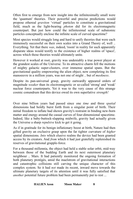Often first to emerge from new insight into the infinitesimally small were the 'quantum' theories. Their powerful and precise predictions would propose ethereal *graviton* 'virtual' particles to constitute a gravitational field, much as the light-bearing *photon* did for its electromagnetic counterpart. But just how could the infinitesimal scale of subatomic particles conceptually enclose the infinite scale of curved spacetime?

Most species would struggle long and hard to unify theories that were each immensely successful on their own scales into a Grand Theory of, well .. Everything. Yet that there *was*, indeed, 'room' in reality for such apparently disparate ideas would testify to the existence of higher realms of 'space', across which those theories would ultimately unite.

However it worked at root, gravity was undeniably a true power player at the grandest scales of the Universe. To its attractive charm fell the motions of mighty galactic super-clusters, over immense spatial spans. But the gravitational quality empowering the alien object, now completing its first manoeuvre in a million years, was not one of might .. but of *meekness*.

Despite its pan-universal grasp, gravity outwardly appeared orders of magnitude *weaker* than its electromagnetic or so-called 'strong' and 'weak' nuclear force counterparts. Yet it was to the very cause of this strange cosmic conundrum that this device owed its own superlative *strength!*

Over nine billion years had passed since one *time* and three *spatial* dimensions had boldly burst forth from a singular point of birth. Their initial freedom to inflate had shown gravity's restraint in binding new-born matter and energy around the casual curves of four-dimensional spacetime. Indeed, like a baby-buttock-slapping midwife, gravity had actually given the Universe a sharp *repulsive* kick to get it going.

As if in gratitude for its benign inflationary boost at birth, Nature had then gifted gravity an exclusive grasp upon the far tighter curvature of *higher* spatial dimensions. *Into* which elusive realms the device had been granted access by its creators. And *from* which it had just gratefully replenished its reserves of gravitational grapple-force.

For a thousand millennia, the object had held a stable solar orbit, mid-way between those of the budding Earth and its next outermost planetary neighbour .. Mars. It had patiently monitored the ongoing formation of both planetary protégés, amid the maelstrom of gravitational interactions and catastrophic collisions still carving the unique character of this complex system. So it had *not* made its recent, inward move towards the ultimate planetary targets of its attention until it was fully satisfied that *another* potential future problem had been permanently put to rest...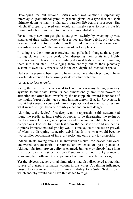Developing far out beyond Earth's orbit was another interplanetary interplay. A gravitational game of gaseous giants, of a type that had spelt ultimate doom to many a planetary parade's life-bearing prospects. But which, if properly played out, would ultimately serve to *secure* Earth's future protection .. and help to make it a 'must-inhabit' world.

Far too many newborn gas giants had grown swiftly, by sweeping up vast swathes of their stellar systems' densest ice and dusty debris, only to then descend, in destructive spirals, from the frigid zones of their formation .. towards *and even into* the inner realms of rockier planets.

In doing so, their immense gravitational pulls had plunged those puny sibling planets into dire peril; often disrupting their orbits into highly eccentric and lifeless ellipses, smashing doomed bodies together, dumping them into their star .. or slinging them entirely out of their planetary system, to eventually freeze solid in the dark depths of interstellar space.

Had such a scenario been seen to have started here, the object would have devoted its attention to disarming its destructive outcome.

At least, *as best it could!*

Sadly, the entity had been forced to leave far too many failing planetary systems to their fate. Even its pan-dimensionally amplified powers of attraction had often been dwarfed by the unstoppable inward incursions of the mighty 'super-Jupiter' gas giants lurking therein. But, in *this* system, it had at last sensed a source of future hope. One set to eventually restrain what would still yet become a visibly clear and present danger.

Alarmingly, the device's first deep scan, on approaching this system, had found the predicted future orbit of Jupiter to be threatening the realm of the four sizeable, rocky, inner planets and their innumerable planetesimal companions. Formed first and fast from the densest dust and icy debris, Jupiter's immense natural gravity would someday stunt the future growth of Mars, by disrupting its nearby debris bands into what would become two parallel populations of inwardly rocky and outwardly icy asteroids.

Indeed, in its roving role as an interstellar sleuth, the device had even uncovered circumstantial, circumstellar evidence of past planecide. Although far from proven guilty as charged, Jupiter *may* already have long since destroyed a first generation of super-sized, inner, rocky planets .. spawning the Earth and its companions from *their* re-cycled wreckage.

Yet the object's deeper orbital simulations had also discovered a potential source of planetary salvation waiting in the wings. A calming influence, poised to step in and restore ultimate stability to a Solar System over which anarchy would once have threatened to reign.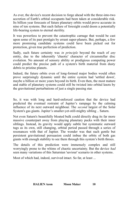As ever, the device's recent decision to forge ahead with the three-into-two accretion of Earth's orbital occupants had been taken at considerable risk. Its billion year forecasts of future planetary orbits would prove accurate in nine of ten systems. But each failure of foresight could doom a potentially life-bearing system to eternal sterility.

It was powerless to prevent the catastrophic carnage that would be cast upon some of its past protégés by errant super-planets. But, perhaps, a few more promising candidate systems could have been picked out for protection, given true perfection of prediction.

Sadly, such future certainty was *in principle* beyond the reach of *any* entity, due to the inherently 'chaotic' character of circumstellar disc evolution. No amount of sensory ability or prodigious computing power could predict the precise path of a system's birth material from dusty debris to pristine planets.

Indeed, the future orbits even of long-formed major bodies would often prove surprisingly dynamic until the entire system had 'settled down', maybe a billion or more years beyond its birth. Even then, the most mature and stable of planetary systems could still be twisted into orbital knots by the gravitational perturbations of just a single passing star.

So, it was with long and hard-enforced caution that the device had predicted the eventual restraint of Jupiter's rampage by the calming influence of its next outward neighbour. The *second* largest of the Solar System's gas giants. Jupiter's smaller-yet-still-mighty sibling .. Saturn.

Not even Saturn's beautifully bloated bulk could directly drag its far more massive counterpart away from playing planetary pucks with their inner siblings. Instead, its gravity would apply subtle but systematic outward tugs as its own, still changing, orbital period passed through a series of resonances with that of Jupiter. The wonder was that such gentle but persistent gravitational persuasion could imbue the orbits of both gas giants with enough stability to see them through this system's birth throes.

The details of this prediction were immensely complex and still worryingly prone to the whims of chaotic uncertainty. But the device *had* seen many variations of this Saturnian 'saviour' scenario in other systems.

Most of which had, indeed, survived intact. So far, at least ...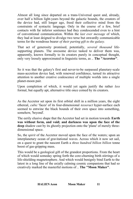Almost all long since departed on a trans-Universal quest and, already, over half a billion light-years beyond the galactic bounds, the creators of the device had, still longer ago, freed their collective mind from the constraints of syntactic language. Only in the course of a few, brief contacts with far inferior sentience had they condescended even to a hint of conventional communication. Within the *last ever message* of which, they had at least deigned to divulge two terse but onwardly communicable terms for the wondrous bearer *of their parting gift to the galaxy.*

That act of generosity promised, potentially, *several thousand* lifesupporting planets. The awesome device tasked to deliver them was, apparently, known formally to its creators purely in conceptual thought, only very loosely approximated in linguistic terms, as .. **The "Accretor"**.

So it was that the galaxy's first and never-to-be surpassed planetary-scale mass-accretion device had, with renewed confidence, turned its attractive attention to another creative coalescence of multiple worlds into a single planet-moon pair.

Upon completion of which, it would yet again justify the rather *less* formal, but equally apt, alternative title once coined by its creators.

As the Accretor set upon its first orbital shift in a million years, the eight ethereal, *cubic* 'faces' of its four-dimensional *tesseract* hyper-surface each seemed to entwine the black bounds of their own space into something, somehow, 'beyond'.

The eerily elusive shape that the Accretor had set in motion towards **Earth was without form, and void; and darkness was upon the face of the deep** shadow cast by its ghostly projection onto the 'plane' of merely threedimensional space.

So, the s*pirit* of the Accretor moved upon the face of the waters; upon an interplanetary ocean of gravitational waves. Across which it now set sail, on a quest to grant the nascent Earth a *three hundred billion billion* tonne boost of gas-gripping mass.

This would be a geological gift of the grandest proportions. From the heart of which would someday spring forth the core-churning birth stirrings of a life-shielding magnetosphere. And which would benignly bind Earth to the latest in a long line of the axially calming cosmic companions that had so creatively marked the masterful motions of .. **The "Moon Maker"**.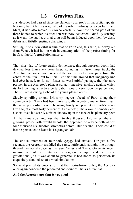#### <span id="page-17-0"></span> **1.3 Graviton Flux**

Just decades had passed since the planetary accretor's initial orbital update. Not only had it left its original parking orbit, mid-way between Earth and Mars, it had also moved *inward* to carefully *cross* the shared path of the three bodies to which its attention was now dedicated. Dutifully sensing, as it went, the subtle, orbital drag still being induced upon them by dusty debris and fitfully gusting solar winds.

Settling in to a new orbit within that of Earth and, this time, mid-way out from Venus, it had lain in wait in contemplation of the perfect timing for its first, fateful 'perturbation pulse' …

That short day of future earthly deliverance, through apparent doom, had dawned less than sixty years later. Rounding its faster inner track, the Accretor had once more reached the radius vector sweeping from the centre of the Sun .. out to Theia. But this time around that imaginary line had *also* hosted, on its still faster sunward orbital passage, the planetary partner in the Accretor's plan. A suitably massive 'anchor', against which its forthcoming attractive perturbation would very soon be perpetrated. The still red-glowing globe of the young planet Venus.

Slowly spiralling around L4, sixty degrees ahead of Earth along their common orbit, Theia had been more casually accreting matter from much the same primordial pool .. boasting barely six percent of Earth's mass. Even so, at almost forty percent of its diameter, Theia would someday cast a short-lived but scarily sinister shadow upon the face of its planetary peer.

At that time spanning less than twelve thousand kilometres, the still growing proto-Earth would behold the approach of a behemoth almost four thousand six hundred kilometres across! But *not* until Theia could at last be persuaded to leave its Lagrangian lair.

The critical moment of four-body *syzygy* had arrived. For just a few seconds, the Accretor straddled the same, sufficiently straight line through three-dimensional space as the Sun, Venus and Theia. Given its recent measurement of the orbital debris drag on its target, and the precise gravitational jolt it was about to generate, it had honed to perfection its exquisitely detailed set of orbital simulations.

So, as it primed its powers for that first perturbation pulse, the Accretor once again pondered the predicted end-point of Theia's future path.

**And the Accretor saw that** *it was* **good***.*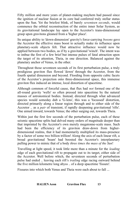Fifty million and more years of planet-making mayhem had passed since the ignition of nuclear fusion at its core had conferred truly stellar status upon the Sun. Yet the briefest blink, of barely *seventeen seconds*, would commence the orbital reconstruction of the entire inner Solar System, as its gravitational landscape lay open to the Accretor's trans-dimensional grasp upon gravitons gleaned from a 'higher place'.

Its unique ability to 'down-dimension' gravity's force-carrying *bosons* gave the Accretor the effective mass boost to actually make its influence upon planetary-scale objects felt. That attractive influence would now be applied between two bodies, as if by a gravitational 'winch'. The intent was to imbue the first of a few brief but intense pulses of fatal attraction upon the target of its attention, Theia, in one direction. Balanced against the planetary anchor of Venus, in the other.

Throughout those seventeen seconds of its first perturbation pulse, a truly prodigious graviton flux flowed 'down' through the Accretor, from the fourth spatial dimension and beyond. Flooding from opposite cubic facets of the Accretor's projection onto three-dimensional space, this immense graviton flux induced an intense, local distortion of spacetime.

Although common of forceful cause, that flux had *not* formed one of the all-round gravity 'wells' so often pressed into spacetime by the natural masses of astronomical bodies. Instead, directed through what advanced species would someday dub a 'G-lens', this was a 'focussed' distortion, directed primarily along a linear region through and to either side of the Accretor .. as a *pair* of transient, if rapidly deepening gravitational 'rifts'. One aimed inward, towards Venus; the other surging out, towards Theia.

Within just the first few seconds of the perturbation pulse, each of these seismic spacetime splits had delved many orders of magnitude deeper than that imprinted by the Accretor's own merely megatonne-scale mass. Such had been the efficiency of its graviton draw-down from higherdimensional realms, that it had momentarily multiplied its mass-presence by a factor of some two billion trillion! Along the axis of each linear rift, a broad gravitational 'beam' had boosted the Accretor's interplanetary pulling power to mimic that of a body *three times the mass of the Sun*!

Travelling at light speed, it took little more than a minute for the *leading* edge of each gravitational rift to propagate out to its target, either side of the Accretor. Well before which, the seventeen seconds of perturbation pulse had ended .. leaving each rift's *trailing* edge racing outward behind the five million kilometre long abyss .. of a deep spacetime 'fissure'.

Fissures into which both Venus and Theia were each about to fall ...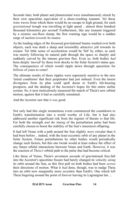Seconds later, both planet and planetesimal were simultaneously struck by their own spacetime equivalent of a shore-crashing tsunami. Yet these were waves from which there would be no escape to high ground, for each *gravitational* trough was travelling at light speed .. almost three hundred thousand kilometres per second! Furthermore, like any tsunami triggered by a seismic sea-floor slump, the first warning sign would be a sudden surge of suction *towards* its source.

As the leading edges of the focussed gravitational beams washed over both objects, each was dealt a sharp and irresistibly attractive jolt towards its creator. Yet little sense of acceleration would be 'felt' by either, as each was merely following its natural path through the space so sharply and suddenly curved by the intense graviton flux. Even so, both bodies *had* been deeply 'moved' by these twin shocks to the Solar System's status quo. The consequences of which would ripple down through spacetime for *billions* of years to come!

The ultimate results of those ripples were supremely sensitive to the new 'initial conditions' that their perpetrator had just imbued. Even the tiniest divergence from its plan could spell doom to Earth's life-bearing prospects, and the dashing of the Accretor's hopes for this entire stellar system. So, it next meticulously measured the match of Theia's new orbital motion, against that it had so carefully simulated.

And the Accretor saw that *it was* good*.*

Not only had this single momentous event commenced the countdown to Earth's transformation into a world worthy of Life, but it had also addressed another significant risk from the register of threats *to* that life. For both the strength *and the timing* of the perturbation pulse had been carefully chosen to boost the stability of the Sun's innermost offspring.

It had left Venus with a path around the Sun slightly *more* circular than it had been before .. indeed, with the least eccentric orbit of any planet in the Solar System. Future perturbations by other bodies would periodically change such factors, but this one tweak would at least reduce the effect of any future orbital interactions between Venus and Earth. However, it was the reaction of *Theia's* orbital path to the pulse that had become critical.

Like those of Venus, Theia's seventeen seconds of gravitational free-fall into the Accretor's spacetime fissure had barely changed its velocity *along* its orbit around the Sun, as this first pull on both bodies had been *across* their directions of motion. What it *had* done, though, was to nudge Theia into an orbit now marginally more eccentric than Earth's. One which left Theia lingering around the point of forever leaving its Lagrangian lair ...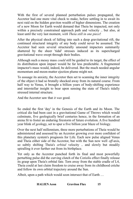With the first of several planned perturbation pulses propagated, the Accretor had one more vital check to make, before settling in to await its next raid on the hidden graviton wealth of higher dimensions. The creation of a new Moon for Earth would demand that Theia be impacted, not only within a precisely constrained approach path and velocity .. but also, at least until the very last moment, *with Theia still in one piece*!

After the physical shock of falling into such a deep gravitational rift, the continued structural integrity of any body could never be assumed. The Accretor had seen several structurally unsound impactors summarily shattered by the sheer 'tidal' stresses induced as its supercharged gravitational wave swept through their bodies.

Although such a messy mass *could* still be guided to its target, the effect of its distribution upon impact would be far less predictable. A fragmented impactor's mass would, indeed, be delivered. But the much needed angular momentum and moon-matter ejection plume might not.

To assuage its anxiety, the Accretor then set to scanning the inner integrity of the object it had so brutally shocked away from its natural course. From half way to Venus, it brought a billion years of body-shifting experience and interstellar insight to bear upon sensing the state of Theia's tidally stressed internal structure.

And the Accretor saw that *it was* good*.*

So ended the first 'day' in the Genesis of the Earth and its Moon. The critical die had been cast in a gravitational Game of Throws which would culminate, five geologically brief centuries hence, in the formation of an arena fit to foster an enduring firestorm of future evolution. A five hundred year blink of *ge*ology, set to spur a five billion year blaze of *bi*ology.

Over the next half millennium, three more perturbations of Theia would be administered and assessed by an Accretor growing ever more confident of this planetary system's prognosis for Life. Each new pulse aligned Venus and Theia either side of the Accretor, but with the Sun now well *off*-axis, so subtly shifting Theia's *orbital* velocity .. and slowly but steadily spiralling it ever further out from its birthplace.

Yet only as the Accretor punched forth its final and most powerfully perturbing pulse did the curving clutch of the Coriolis effect finally release its grasp upon Theia's orbital fate. Torn away from the stable cradle of L4, Theia could at last claim freedom to cruise away from its childhood crèche and follow its own orbital trajectory around the Sun.

Albeit, upon a path which would soon intersect that of Earth …

| <b>HALIEN Aeon</b><br><b>Graviton Flux</b> | 15 |  |
|--------------------------------------------|----|--|
|--------------------------------------------|----|--|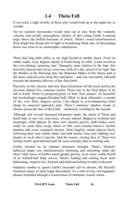#### <span id="page-21-0"></span> **1.4 Theia Fall**

*It was* truly a sight worthy of those who would look up at the night sky in wonder.

Yet no sentient skywatcher would stare up in awe from the violently volcanic and acridly atmospheric surface of this young Earth. Looming large above the hellish horizons of which, Theia's visual transformation from bright but distant dot of light to broadening black disc of descending doom was close to its catastrophic culmination.

Theia had long held office as *the* high herald of earthly dawn. From its stable cradle, sixty degrees ahead of Earth along its orbit, it had served as the ever-shining, morning 'star'. Strangely static relative to the Sun, this heavenly beacon had *always* risen one sixth of a day *ahead* of its light. But the Mother of the Morning Sun; the Maternal Maker of the Dawn, had at last been seduced away from her watchpost .. and was irresistibly inbound towards the dramatic delivery of her final birth.

Precisely on the velocity and only three kilometres off the track laid by the Accretor almost five centuries earlier, Theia was in the final phase of its fall to Earth. From its projected point of fatal 'first contact', its beautiful but forebodingly magma-blooded bulk filled, in deep silhouette, a swathe of sky over thirty degrees across. Cast ahead in ever-sharpening relief along its sunward approach path, Theia's immense shadow swept in silence across the face of the Earth .. ominously swelling by the second.

Although still several thousand kilometres apart, the union of Theia and Earth had, in one very real sense, *already* started. Shaped in isolation into seemingly solid spheres by their own internal gravity, both bodies were really no more than crispy shells of thin crust around massive molten mantles and cores contained therein. Such fragility suited objects freely following their own stellar orbits, but both bodies were now bathing ever deeper in *each other's* gravity. And the nearer, closing face of Theia was feeling Earth's gravitational pull far more strongly than its trailing side.

Feebly resisted by its internal structural strength, Theia's formerly spherical shape was simultaneously slimming and stretching under the sheer 'tidal' stress of Earth's much greater gravity. Ever more visibly bereft of its billiard-ball body curves, Theia's leading and trailing faces were ballooning, respectively, forward and backward along its path of descent.

Suddenly unable to ignore Earth's incessant call to closure, the fractally fractured slopes of each bulge blossomed. As a web of rose red magmatic plumes exploded through a crazed maze of immense crustal cracks.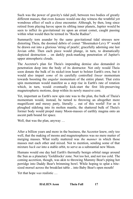Such was the power of gravity's tidal pull, between two bodies of greatly different masses, that even *humans* would one day witness the wrathful yet wondrous effect of such a close encounter. Although, by then, long since retired from playing havoc upon its sibling inner planets, Jupiter would be seen to inflict its gravitational ire upon an errant comet, caught passing within what would then be termed its "Roche Radius".

Summarily torn asunder by the same gravitational tidal stresses now distorting Theia, the doomed debris of comet "Shoemaker-Levy 9" would be drawn out into a glorious 'string of pearls', gracefully adorning one last Jovian orbit. Then each piece would plunge, in turn, to dramatically depicted destruction .. on darkly pock-marking penetration of Jupiter's upper atmospheric clouds.

The Accretor's plan for Theia's impending demise also demanded *its* penetration deep into the body of its destructor. Not only would Theia soon donate the bulk of its nickel-iron heart to bolster Earth's own, but it would also impart *some* of its carefully controlled *linear* momentum towards boosting the *angular* momentum of the entire planet. That extra spin momentum would manifest as a step rise in Earth's rate of rotation which, in turn, would eventually kick-start the first life-preserving magnetospheric motions, deep within its newly massive core.

Yet, important as Earth's new spin rate was to the plan, the bulk of Theia's momentum would, instead, be turned to throwing an altogether more magnificent and messy party, literally .. out of this world! For as it ploughed sidelong into its molten mantle, the shattered bulk of Theia's former body would propel many Moon-masses of earthly magma onto an ascent path bound for space.

Well, that was the plan, anyway ...

After a billion years and more in the business, the Accretor knew, only too well, that the making of moons and magnetospheres was no mere matter of merging masses. What really mattered was *the manner* in which those masses met each other and mixed. Not to mention, sending some of that mixture *back out* into a stable orbit, to serve as a substantial new Moon.

Humans would one day hail Earth's thermally benign orbital range around the Sun as a planetary 'Goldilocks' zone. Not too hot, and not too cold. The coming accretion, though, was akin to throwing Mummy Bear's piping hot porridge into Daddy Bear's brimming bowl. While hoping to splat a bitesized morsel across the breakfast table .. into Baby Bear's open mouth!

Yet that hope *was* realistic …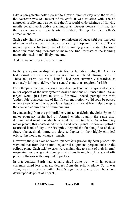Like a pan-galactic potter, poised to throw a lump of clay onto the wheel, the Accretor was *the* master of its craft. It was satisfied with Theia's approach profile and was sensing the first world-wide stirrings of flowing mantle beneath each body's cracking crust. Deeper down still, it had felt the heavy cores at their hearts irresistibly 'falling' for each other's attractive charm.

Such early signs were reassuringly reminiscent of successful past mergers of a thousand alien worlds. So, as the swiftly sharpening shadow of Theia moved upon the fractured face of its beckoning grave, the Accretor used these few remaining moments to make one final forecast of the looming magmatic maelstrom's likely outcome.

And the Accretor saw that *it was* good*.*

In the years prior to dispensing its first perturbation pulse, the Accretor had considered over sixty-seven sextillion simulated closing paths of Theia and Earth. All but a handful had been summarily discarded, as ultimately failing to deliver the essential conditions required for Life.

Even the path eventually chosen was about to leave one major and several minor aspects of the new system's desired motions still unsatisfied. *Those* targets would just have to wait .. for now. Indeed, perhaps the most 'undesirable' characteristic of Earth's current motion would soon be passed on to its new Moon. To leave a lunar legacy that would later help to inspire the awe and admiration of future humans.

In condensing from the primordial circumstellar debris, the Solar System's major planetary orbits had all formed within roughly the same disc, defining what would one day be termed the 'ecliptic plane'. Seen from any major planet, this constrained the Sun and other planets to forever patrol a restricted band of sky .. the 'Ecliptic'. Beyond the far-flung fate of those future planetesimals borne too close to Jupiter by their highly elliptical orbits, *that* would not change .. much.

However, the *spin* axes of several planets *had* previously been pushed this way and that from their natural equatorial alignment, perpendicular to the ecliptic plane. Such axial tweaks were mainly due to a mix of their internal magmatic motions, gravitational perturbations from other planets, and 'offplane' collisions with a myriad impactors.

In that context, Earth had actually fared quite well, with its equator currently tilted less than six degrees from the ecliptic plane. So, it was along a path precisely within Earth's *equatorial* plane, that Theia bore down upon its point of impact ...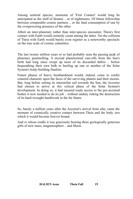Among sentient species, moments of 'First Contact' would long be anticipated as the stuff of dreams .. or of nightmares. Of future fellowship between comparable cosmic partners .. or the fatal consumption of one by the overpowering presence of the other.

Albeit an inter-planetary rather than inter-species encounter, Theia's first contact with Earth would certainly count among the latter. Yet the collision of Theia with Earth would barely even register as a noteworthy spectacle on the true scale of cosmic calamities.

The last twenty million years or so had probably seen the passing peak of planetary pummelling. A myriad planetesimal cast-offs from the Sun's birth had long since swept up most of its discarded debris .. before bequeathing their own bulk to beefing up one or another of the Solar System's body-building finalists.

Future phases of heavy bombardment would, indeed, come to confer cratered character upon the faces of the surviving planets and their moons. But, long before setting its interstellar sail towards the Sun, the Accretor had chosen to arrive at *this* critical phase of the Solar System's development. In doing so, it had ensured ready access to the pre-accreted bodies it now needed to do its job .. without unduly risking the destruction of its hard-wrought handiwork in the far future.

So, barely a million years after the Accretor's arrival from afar, came the moment of cosmically creative contact between Theia and the body *into* which it would become forever bound.

And *to* whose cradle it was graciously bearing three geologically generous gifts of new mass, magnetosphere .. and Moon.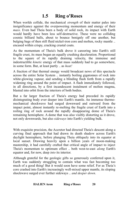#### <span id="page-25-0"></span> **1.5 Ring o'Roses**

When worlds collide, the mechanical *strength* of their matter pales into insignificance against the overpowering momentum and energy of their *mass*. Even had Theia been a body of solid rock, its impact with Earth would hardly have been less self-destructive. These were no colliding cosmic billiard balls, about to bounce benignly off one another, but bulging bags of then still fluid nickel-iron core and molten, rocky mantle .. encased within crispy, cracking crustal coats.

As the momentum of Theia's bulk drove it careering into Earth's still fragile crust, its mass began an equally crushing deceleration. Proportional to the square of its rapidly draining velocity, the immense and indestructible *kinetic* energy of that mass suddenly had to go somewhere, in some form. But, at least partly .. as *heat!*

A fraction of that thermal energy would broadcast news of this spectacle across the entire Solar System .. instantly boiling gigatonnes of rock into white-glowing vapour, and sending a blinding flash forth from a rapidly widening ring around the point of impact. A flash immediately followed, in all directions, by a first incandescent instalment of molten magma, blasted into orbit from the interiors of both bodies.

But a far larger fraction of Theia's energy had preceded its rapidly disintegrating body ever deeper into Earth's mantle. An immense thermomechanical shockwave had surged downward and outward from the impact point, almost instantly re-melting the fragile crust of Earth into a roiling ring of rock around the rapidly disappearing dome of Theia's remaining hemisphere. A dome that was also visibly distorting as it drove, not only downwards, but also *sideways* into Earth's yielding bulk.

With exquisite precision, the Accretor had directed Theia's descent along a curving final approach that had drawn its death shadow across Earth's daylight hemisphere, before plunging Theia obliquely into its equator at local sunset. Drawing heavily upon a billion years of moon-making mastership, it had carefully crafted that critical angle of impact to inject Theia's momentum to optimum effect .. both west-to-east *along* Earth's equator and, for now, deep *into* its interior.

Although grateful for the geologic gifts so generously conferred upon it, Earth was suddenly struggling to contain what was fast becoming too much of a good thing! But it would soon have some relief. For as Theia's core crashed into Earth's increasingly well-mixed upper mantle, its sloping shockwave surged ever further sideways .. *and deeper down*.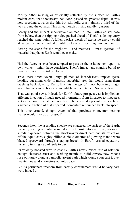Mostly either missing or efficiently reflected by the surface of Earth's molten core, that shockwave had soon passed its greatest depth. It was now speeding towards the thin but still solid crust, almost a third of the way around the equator. This time, though .. rising rapidly *upward!*

Barely had the impact shockwave slammed up into Earth's crustal base from below, than the ripping bulge pushed ahead of Theia's sidelong entry reached the same point. A fallen world's worth of explosive energy could at last get behind a hundred quintillion tonnes of seething, molten mantle.

Setting the scene for the mightiest .. and messiest .. 'mass ejection' of material that planet Earth would ever make.

Had the Accretor ever been tempted to pass aesthetic judgement upon its own works, it might have considered Theia's impact and slanting burial to have been one of its 'tidiest' to date.

True, there *were* several huge plumes of incandescent impact ejecta heading out along wide, if mostly suborbital arcs that would bring them crashing back down to Earth. But this merger of minor body into major world had otherwise been commendably well contained. So far, at least.

That was good news, indeed, for Earth's future prospects, as it implied an efficient injection of much needed momentum from impactor to impactee. Yet as the core of what had once been Theia dove deeper into its new host, a sizeable fraction of that imparted momentum rebounded back into space.

This time around, though, *some* of that precious momentum-bearing matter would stay up .. for good!

Seconds later, the ascending shockwave shattered the surface of the Earth, instantly tearing a continent-sized strip of crust into vast, magma-coated shreds. Squeezed between the shockwave's direct path and its reflection off the liquid core, eighty billion cubic kilometres of glowing mantle were blasted spaceward through a gaping breach in Earth's crustal equator .. instantly turning its dark side to day.

Its velocity boosted west to east by Earth's newly raised rate of rotation, enough shattered crust and seething mantle to build *several* new Moons rose obliquely along a parabolic ascent path which would soon cast it over twenty thousand kilometres out into space.

But its permanent freedom from earthly confinement would be very hard won, indeed ...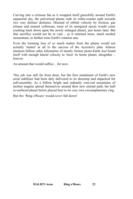Curving into a crimson fan as it wrapped itself gracefully around Earth's equatorial sky, the pulverised plume rode its roller-coaster path towards two very distinct destinies. Drained of orbital velocity by friction, gas release and mutual collisions, most of its energised ejecta would come crashing back down upon the newly enlarged planet, just hours later. But that sacrifice would not be in vain .. as it returned more, much needed momentum, to further raise Earth's rotation rate.

Even the looming loss of so much matter from the plume would not actually 'matter' at all to the success of the Accretor's plan. Almost nineteen billion cubic kilometres of mostly former proto-Earth *had* found itself with enough lateral velocity to 'miss' its home planet, altogether .. forever.

An amount that would suffice .. for now.

This job was still far from done, but the first instalment of Earth's new axial stabiliser had been duly delivered to its doorstep and unpacked for self-assembly. As a billion bright and radiantly rose-red mountains of molten magma spread themselves around their new eternal path, the half re-surfaced planet below played host to its very own circumplanetary ring.

But *this* 'Ring o'Roses' would *never* fall down!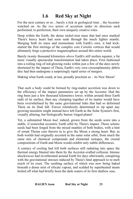## <span id="page-28-0"></span> **1.6 Red Sky at Night**

For the next century or so .. barely a tick in geological time .. the Accretor watched on. As the *two* actors of accretion under its direction each performed, to perfection, their own uniquely creative roles.

Deep within the Earth, the dense nickel-iron mass that had once marked Theia's heavy heart had soon sunk through the much lighter mantle. Merging both its mass and momentum with Earth's own, it had kickstarted the first stirrings of the complex core Coriolis vortices that would ultimately forge a protective magnetosphere around this entire world.

Barely twenty thousand kilometres *above* Earth's still molten equator, a far more visually spectacular transformation had taken place. First fashioned into a roiling ring of red-glowing rocks within just a few of the days newly shortened by the impact of Theia, Earth's very own circumplanetary debris disc had then undergone a surprisingly rapid series of mergers.

Making what Earth could, at last, proudly proclaim as .. its New Moon!

That such a body could be formed by ring-matter accretion was down to the efficiency of the impact parameters set up by the Accretor. Had the ring been just a few thousand kilometres lower, within around three Earth radii of its surface, then any clumping together of its matter would have been overwhelmed by the same gravitational tides that had so deformed Theia on its final fall. Forces relentlessly determined to rip apart any growing moonlets might instead have left Earth as the Solar System's first, visually alluring, but biologically barren 'ringed planet'.

Yet, a substantial Moon *had,* indeed, grown from the seeds sown into a stable, if somewhat eccentric Earth orbit by Theia's impact. Those selenic seeds had been forged from the mixed mantles of both bodies, with a hint of errant Theian core thrown in to give the Moon a strong heart. But, as both worlds had originally accreted in the same solar orbit, from much the same mix of chemical compounds and elemental isotopes, the crustal compositions of Earth and Moon would exhibit only subtle differences.

A century of cooling had left both surfaces still radiating into space the thermal energy blasted into them by the Accretor-crafted collision. Intense shockwaves had reverberated around Earth for days afterwards, conspiring with the gravitational stresses induced by Theia's fatal approach to re-melt much of its crust. The seething surface of which was now being baked beneath a dense mist of silicate vapour, and scalded by superheated steam boiled off what had briefly been the dark waters of its first shallow seas.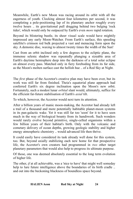Meanwhile, Earth's new Moon was racing around its orbit with all the eagerness of youth. Clocking almost four kilometres per second, it was completing a pole-positioning lap of its planetary anchor roughly every twelve hours .. its gravitational pull dragging behind two bulging 'rock tides', which would only be outpaced by Earth's even *more* rapid rotation.

Beyond its blistering bustle, its sheer visual scale would have mightily impressed any early Moon-Watcher. From Earth's surface, this speeding satellite's crimson red bulk projected a vast and menacing form upon the sky. A demonic disc, waxing to almost twenty times the width of the Sun!

Cast from an orbit inclined only a few degrees to the ecliptic plane, the immense selenic shadow was repeatedly plunging a sizeable area of Earth's daytime hemisphere deep into the darkness of a total solar eclipse on almost every pass. Matched only in fiery foreboding from its far side, as the Moon's molten surface cast the hellish hue .. of a Red Sky at Night.

The *first* phase of the Accretor's creative plan may have been over, but its work was still far from finished. Theia's equatorial plane approach had conferred Earth's six degree inclination upon the Moon's new orbit. Fortunately, such a modest lunar *orbital* slant would, ultimately, suffice for the efficient far-future stabilisation of Earth's *axial* tilt.

To which, however, the Accretor would next turn its attention.

After a billion years of manic moon-making, the Accretor had already left a trail of a thousand and more potentially habitable planet-moon systems in its pan-galactic wake. Yet it was still far too 'soon' for it to have seen much in the way of biological bounty from its handiwork. Such wonders would rarely evolve beyond primitive, single-celled organisms within a few billion years of their habitat's birth. Only with the volcanic and cometary delivery of ocean depths, growing geologic stability and higher energy atmospheric chemistry .. would advanced life then thrive.

It could easily have considered its task already well done for this system, too. But, beyond axially stabilizing each new home for that prospective life, the Accretor's own creators had programmed in *two* other target planetary parameters that would also help to progress its ultimate purpose.

Of those, one was deemed absolutely essential to the long term evolution of higher life.

The other, *if* at all achievable, was a 'nice to have' that might well someday help to lure future intelligence above the boundaries of its birth cradle .. and out into the beckoning blackness of boundless space beyond.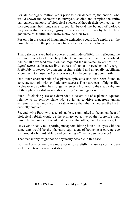For almost eighty million years prior to their departure, the entities who would spawn the Accretor had surveyed, studied and sampled the entire pan-galactic panoply of biological species. Although their own collective consciousness had long since forged far beyond the bounds of biology, they knew that the very *fragility* of biochemical life was by far the best guarantee of its ultimate transformation to their form.

For only in the wake of innumerable extinctions could Life explore all the possible paths to the perfection which only they had yet achieved.

That galactic survey had uncovered a multitude of lifeforms, reflecting the extreme diversity of planetary habitats within which each had evolved. Almost all advanced evolution had required the universal solvent of life .. *liquid water,* aside accessible sources of stellar or geochemical energy. Preferably protected by a magnetospheric shield and an axially stabilising Moon, akin to those the Accretor was so kindly conferring upon Earth.

One other characteristic of a planet's spin axis had also been found to correlate strongly with evolutionary success. The heartbeats of higher lifecycles would so often be stronger when synchronised to the steady rhythm of their planet's orbit around its star .. *by the passage of seasons*.

Such life-clocking seasons demanded a decent tilt of a planet's equator, relative to its ecliptic plane. Not so far as to drive dangerous annual extremes of heat and cold. But rather more than the six degrees the Earth currently enjoyed.

So, endowing Earth with a set of stable seasons suited to the annual beat of biological rebirth would be the primary objective of the Accretor's next move. In the process, it would take aim at that other, 'nice to have' target.

However, to sadly mix sporting metaphors, hitting both bulls-eyes with the same dart would be the planetary equivalent of bouncing a curving cue ball around a billiard table .. and pocketing *all* the colours in one go!

That feat simply might not be physically possible in this case.

But the Accretor was once more about to carefully uncase its cosmic cuestick .. and take its very best shot!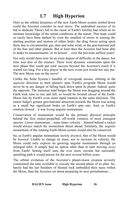## <span id="page-31-0"></span> **1.7 High Hyperion**

Only as the orbital dynamics of the new Earth-Moon system settled down could the Accretor consider its next move. The undoubted success of its bid to dedicate Theia's fall to the cause of Earth's fertility had relied on its intimate knowledge of the initial conditions at the outset. That hope could so easily have been dashed by even the smallest of errors in sensing the starting position and motion of either body; the drag forces acting upon them due to circumstellar gas, dust and solar wind, or the gravitational pull of the Sun and other planets. But at least then the Accretor had been able to make its measurements 'at its leisure' .. over the previous million years!

Not only would there now be an extra degree of difficulty to the dance, but time was also of the essence. There were dynamic constraints upon the next phase that could put total success beyond the Accretor's reach if it waited too long. For a key player in the next event just would not stay put. The new Moon was on the move!

Unlike the Solar System's handful of *retro*grade moons, orbiting in the *opposite* direction to their planet's spin, Earth's *pro*grade Moon would never be in any danger of falling back down upon its planet. Indeed, quite the opposite. The immense tidal bulges the Moon was dragging around the Earth took time to rise and fall, so would be twisted *ahead* of the Earth-Moon line by Earth's even more rapid rotation in the same direction. The nearer bulge's greater gravitational attraction towards the Moon was acting as a small but significant brake on Earth's spin rate. And, as Earth's rotation slowed .. it was *losing* angular momentum.

Conservation of momentum would be the primary physical principle behind the first rocket-propelled, off-world ventures of most emergent species. *Linear* momentum .. mass times velocity .. blasted behind a rocket would always match the momentum thrust ahead. Similarly, the *angular* momentum of the rotating Earth-Moon system would also be conserved.

So, as Earth's angular momentum slowly *drained*, that of the Moon would be *boosted*. Unable to change its mass, nor to increase its velocity, the Moon could only express its growing angular momentum through an enlarged orbit. It simply had no option other than to start moving *away* from Earth! Setting itself onto the ever more circular but outwardly spiralling path it would pursue for the next several billion years.

The orbital evolution of the Accretor's planet-moon creation severely constrained the time available to execute the second phase of its plan. So, barely had the last boulders of blasted rock embedded their mass within the Moon, than the Accretor set about preparing its next perturbations ...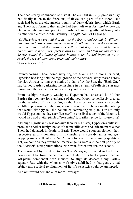The once steady dominance of distant Theia's light in *every* pre-dawn sky had finally fallen to the ferocious, if fickle, red glare of the Moon. But such had been the circumsolar bounty of dusty debris from which Earth and Theia had formed, that ample had been left over for *another* beacon. One which the maternal gravity of Earth had coaxed gently but firmly into its other cradle of co-orbital stability. The *fifth* point of Lagrange.

*"Of Hyperion, we are told that he was the first to understand, by diligent attention and observation, the movement of both the sun and the moon and the other stars, and the seasons as well, in that they are caused by these bodies, and to make these facts known to others; and that for this reason he was called the father of these bodies, since he had begotten, so to speak, the speculation about them and their nature."*

Diodorus Siculus (5.67.1)

Counterpoising Theia, some sixty degrees *behind* Earth along its orbit, Hyperion had long held the high ground of the heavens' daily march across the sky. Always setting one sixth of a day *after* the Sun, the "High One" had bathed Earth's darkening hemisphere in a stream of reflected sun-rays throughout the hours of evening sky beyond every dusk.

From its high, heavenly watchpost, Hyperion had observed its Mother Earth's first century-long embrace of the new Moon so selflessly created by the sacrifice of its sister. So, as the Accretor ran yet another seventy sextillion precision simulations, it would soon be to Theia's smaller sibling that would fittingly fall the honour of completing its plan. For not only would Hyperion one day sacrifice *itself* to one final touch of the Moon .. it would also add a vital pinch of 'seasoning' to Earth's recipe for future Life!

Although significantly less massive than its big sister, Hyperion's bulk still promised another benign boost of the metallic core and silicate mantle that Theia had donated, in death, to Earth. Those would soon supplement their respective earthly domains .. firmly pushing its core dynamics and gasgripping mass well into the 'safe' zones for such life-sustaining qualities. Yet, welcome as they would be, material gains were *not* the first priority of the Accretor's next perturbations. Nor even, for that matter, the second.

The course set by the Accretor for Theia's voyage from L4 to Earth had never cast it far from the ecliptic plane. Only for its final approach had an 'off-plane' component been induced, to align its descent along Earth's equator. But, with the Moon now firmly established in that gently tilted orbit, a more radical re-alignment of Earth's *own* axis could be attempted.

And *that* would demand a lot more 'leverage'.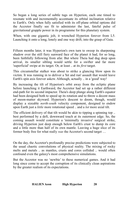So began a long series of subtle tugs on Hyperion, each one timed to resonate with and incrementally accentuate its orbital inclination relative to Earth's. Only when fully satisfied with its off-plane orbital options did the Accretor finally see fit to administer the last, fateful pulse of gravitational grapple power in its programme for this planetary system.

When, with one gigantic jolt, it wrenched Hyperion forever from L5. Launching it onto a long, lonely and one way drift, into the grasp of Gaia.

Fifteen months later, it was Hyperion's own turn to sweep its sharpening shadow over the still fiery sunward face of the planet it had, for so long, been faithfully following from afar. But where Theia had dug deep upon arrival, its smaller sibling would settle for a swifter and far more 'superficial' swipe at its target. Or, at least .. at its *first* target.

This circumstellar stalker was about to strike a glancing blow upon its victim. It was running in to deliver a 'hit and run' assault that would leave Earth's spin axis forever askew. Although, actually .. in a 'good' way!

By increasing the tilt of Hyperion's orbit away from the ecliptic plane before launching it Earthward, the Accretor had set up a rather different end-path for its second impactor. Theia's deep plunge along Earth's equator had been designed both to speed up its rotation and to throw a decent mass of moon-matter skyward. Hyperion's descent to doom, though, would display a sizeable *north-south* velocity component, designed to endow upon Earth just a *little* more rotational speed .. and a *lot* more axial tilt.

The efficient delivery of that tilt would be akin to tipping a spinning top .. best performed by a deft, downward touch at its outermost edge. So, the coming assault would constitute a 'minimally invasive' surgical strike, driving Hyperion just deep enough below Earth's crust to dump its core and a little more than half of its own mantle. Leaving a huge slice of its former body free for what really *was* the Accretor's second target …

On the day, the Accretor's profoundly precise predictions were subjected to the usual chaotic convolutions of physical reality. The mixing of rocky melts and metals .. as mantles, crusts and cores collided .. would often confound even the galaxy's most comprehensive simulations.

But the Accretor was no 'newbie' to these numerical games. And it had long since come to accept the corruption of its clinically clean aspirations by the greater realism of its expectations.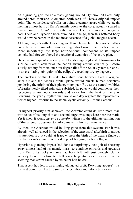As if grinding grit into an already gaping wound, Hyperion hit Earth only around three thousand kilometres north-west of Theia's original impact point. That coincidence of collision points a century apart, whilst yet again melting almost half of Earth's mantle down to the core, actually spared a tiny region of *original* crust on the far side. Had the combined energy of both Theia and Hyperion been dumped in one go, then this battered body would now be bathed in the red incandescence of a global magma ocean.

Although significantly less energetic than Theia's fall, Hyperion's half-abody blow still imparted another huge shockwave into Earth's mantle. More importantly, the large north-to-south component of its impact velocity had forever altered the rotational dynamics of the entire planet.

Over the subsequent years required for its ringing global deformations to subside, Earth's equatorial inclination swung around erratically. Before slowly settling from its once six degree tilt off the Solar System's plane .. to an oscillating 'obliquity of the ecliptic' exceeding twenty degrees.

The breaking of that tell-tale, formative bond between Earth's original axial tilt and the Moon's orbital plane would puzzle human scientists pondering the origin of their planet-moon pair. But, as the natural wobbles of Earth's newly tilted spin axis subsided, its poles would commence their respective annual nods towards and away from the heat of the Sun. Powering the yearly rhythm that would one day regulate the reproductive tick of higher lifeforms to the stable, cyclic certainty .. of the Seasons.

Its highest priority aim achieved, the Accretor could do little more than wait to see if its long shot at a second target was anywhere near the mark. Yet it knew it would *never* be a nearby witness to the ultimate culmination of that attempt .. destined to unfold many millions of years hence.

By then, the Accretor would be long gone from this system. For it was already well advanced in the selection of the *next* astral afterbirth to attract its attention. But it could, at least, witness the birth of the bizarre finale of its plan for *this* young star's best hope of bringing forth intelligent life.

Hyperion's glancing impact had done a surprisingly neat job of shearing away almost half of its mantle mass, to continue onwards and upwards from Earth. Its rocky remains had been left with just enough relative velocity to send its bisected bulk on a tangential ascent away from the seething maelstrom caused by its better half below.

That ascent had left it on a highly elongated orbit. Reaching 'apogee' .. its furthest point from Earth .. some nineteen thousand kilometres away.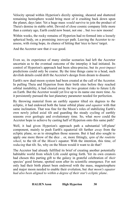Velocity spread within Hyperion's dizzily spinning, sheared and shattered remaining hemisphere would bring most of it crashing back down upon the planet, days later. Yet a huge mass *would* survive to join the product of Theia's demise in stable orbit. Devoid of close cosmic company little more than a century ago, Earth could now boast, not one .. but *two* new moons!

Within weeks, the rocky remains of Hyperion had re-formed into a loosely spherical body, on a promising *intercept* path. Leaving the Accretor to reassess, with rising hope, its chance of hitting that 'nice to have' target.

And the Accretor saw that *it was* good.

Even so, its experience of many similar scenarios had left the Accretor uncertain as to the eventual outcome of the interplay it had initiated. Its control of Hyperion's approach had been ultra-precise, but its *post-impact* predictions could only be coarse. By the time things came to a head, such devilish details could drift the Accretor's design from dream to disaster.

Earth's new dual-moon system had been created at the call of the Accretor. In pulling Theia and Hyperion from their birth sites before they reached orbital instability, it had cleared away the two greatest risks to future Life on Earth. But the Accretor would yet live up to its name one more time. As it persistently pursued the last planetary parameter needed for perfection.

By throwing material from an earthly equator tilted six degrees to the ecliptic, it had endowed both the lunar orbital plane *and equator* with that same inclination. That was fine for the Moon's roles of stabilizing Earth's own newly jolted axial tilt and guarding the steady cycling of earthly seasons over geologic and evolutionary time. So, what *more* could the Accretor hope to achieve by casting half of Hyperion onto this same path?

Well, it had given Hyperion's approach path a substantial 'off-plane' component, mainly to push Earth's equatorial tilt further *away* from the ecliptic plane, so as to strengthen those seasons. But it had also sought to apply one more throw of the dice .. or, more fittingly, *spin of the roulette wheel*, to the tilt of the *Moon's* equator. With the intention, this time, of *reducing* that tilt. So, why on the Moon would it want to do that?

The Accretor had already fulfilled its brief of creating another potentially habitable world from which Life could spring forth. Yet its own creators had chosen this parting gift to the galaxy in grateful celebration of *their* species' good fortune, spotted soon after its scientific emergence. For not only had their birth planet been endowed with the mass, magnetosphere and major moon needed to enable their evolution, but *that moon's equator had also been aligned to within a degree of their star's ecliptic plane*.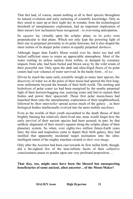That fact had, of course, meant nothing at all to their species throughout its natural evolution and early nurturing of scientific knowledge. Only as they stood to stare up at their night sky in wonder, from the technological threshold of interplanetary exploration, had an important implication of their moon's low inclination been recognised .. to ever-rising anticipation.

Its *equator* lay virtually upon the ecliptic plane, so its *poles* were perpendicular to that plane. Which not only kept the powering light of their star in perpetual proximity to its polar horizons, but it also draped the inner realms of its deeper polar craters in equally perpetual *darkness*.

Although larger than Earth's Moon would ever be, theirs too had still lacked sufficient mass to retain an appreciable atmosphere. Most of the water wetting its airless surface from within, or dumped by cometary impacts from afar, had been boiled and blown away by the wild winds of their powerful star. Only upon the dark and ultra-frigid floors of its polar craters had vast volumes of water survived. In the hardy form .. of *ice.*

Driven by much the same early scientific insight as many later species, the discovery of water ice at the poles of their moon had spurred the first longterm settlements beyond the bounds of their birth world. The melting and hydrolysis of polar crater ice had been energized by the nearby perpetual light of their horizon-hugging star, sourcing water and fuel to sustain their bodies and power their spacecraft. Those first polar moon-bases had launched them onto the interplanetary exploration of their neighbourhood, followed by their inter*stellar* spread across much of the galaxy .. as their biological bodies intellectually evolved into far more mobile *machines*.

Even as the worlds of their youth succumbed to the death throes of their brightly burning but relatively short-lived star, none would forget how the early survival of their ancient species had been assured, in part, by that unlikely alignment of their moon's equator along the ecliptic plane of their planetary system. So when, over eighty-two million future-Earth years later, the time and inspiration came to depart their birth galaxy, they had instilled that apparently incidental target inclination into the ultraintelligent intent of the mighty machine created *in their own image*.

Only after the Accretor had been cast towards its first stellar birth, though, did a far-sighted few of the near-infinite facets of their collective consciousness pause to ponder upon one very profound proposition …

#### **That** *they,* **too, might once have been the blessed but unsuspecting beneficiaries of some ancient, alien ancestor .. of the Moon-Maker!**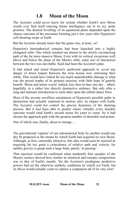#### <span id="page-37-0"></span> **1.8 Moon of the Moon**

The Accretor could never know for certain whether Earth's new Moon would ever find itself enticing future intelligence out to its icy, polar promise. The desired 'levelling' of its equatorial plane depended upon the chance outcome of the encounter looming just a few years after Hyperion's self-shearing swipe at Earth.

But the Accretor already knew that the game was, at least, *on*!

Hyperion's hemispherical remains had been launched into a highly elongated orbit. One which reached out almost to the slowly circularising path of the far more massive Moon. Even with its vertical excursions well above and below the plane of the Moon's orbit, some sort of interaction between the two was inevitable. Such had been the Accretor's plan.

It had aimed and timed Hyperion's earthward approach to *avoid* any danger of direct impact between the twin moons now entwining their orbits. That would have risked far too much unpredictable damage to what was the prized trophy of its primary mission, with little hope of gainful benefit. Moon and moon *would,* indeed, kiss face-to-face one day .. albeit, hopefully, in a rather less directly destructive embrace. But only after a long and intimate introduction to each other upon the orbital dance floor.

Most of the seventy sextillion simulations of Hyperion's possible paths to destruction had actually explored its motion *after* its impact with Earth. The Accretor could not control the precise dynamics of the shearing process. But it *had* been able to predict where virtually every feasible outcome would send Earth's second moon for years to come. So it had chosen the approach path with the greatest number of desirable end-points.

One of which was, finally, about to emerge ...

The gravitational 'capture' of one astronomical body by another would one day be proposed as the means by which Earth had acquired its own Moon. Although, at first, outwardly attractive, this idea would soon be rejected as requiring far too great a coincidence of relative path and velocity for earthly gravity to grasp such a large body, purely 'in passing'.

That rejection would be confirmed when mankind's first samples of the Moon's surface showed how similar its chemical and isotopic composition was to that of Earth's mantle. Yet the Accretor's prodigious predictive powers had set the otherwise unlikely conditions by which *not* Earth, but its *Moon* would actually come to capture a companion all of its very own!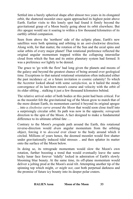Settled into a barely spherical shape after almost two years in its elongated orbit, the shattered moonlet once again approached its highest point above Earth. Earlier visits to this lonely spot had found it firmly beyond the gravitational grasp of a Moon busily going about its orbit elsewhere. But *this* apogee would see it soaring to within a few thousand kilometres of its earthly orbital companion.

Seen from above the 'northern' side of the ecliptic plane, Earth's new satellites were both spinning and orbiting in an *anti*-clockwise direction. Along with, for that matter, the rotation of the Sun and the axial spins and solar orbits of every major planet! That rotational preference reflected the original angular momentum trapped within the collapsing interstellar cloud from which the Sun and its entire planetary system had formed. It was a preference *not* lightly to be denied.

The grace to 'go with the flow' had long given the planets and moons of the galaxy and beyond the greatest chance of being around over geological time. Exceptions to that natural rotational orientation often indicated either the past incidence *of*, or a future invitation *to* cosmic calamity! To which the Accretor looked ahead with some *satisfaction,* as it hailed the steady convergence of its last-born moon's course and velocity with the orbit of its older sibling .. stalking it just a few thousand kilometres behind.

The relative arrival order of both bodies at this point had been critical. For as the moonlet felt the gravitational tug of the Moon grow to match that of the more distant Earth, its momentum carried it beyond its original apogee .. into a *clockwise curve around the Moon* that would soon close itself into a surprisingly circular orbit. Its path was now in the opposite*, retrograde* direction to the spin of the Moon. A fact designed to make a fundamental difference to its ultimate orbital fate …

Contrary to the Moon's *pro*grade path around the Earth, this rotational reverse-direction would *drain* angular momentum from the orbiting object, forcing it to *descend* ever closer to the body around which it circled. Millions of years hence, the doomed moonlet would first shatter under gravitationally induced tidal stresses .. and then splatter its matter onto the surface of the Moon below.

In doing so, its retrograde momentum would slow the Moon's own rotation, further boosting a trend that would eventually leave the same lucky lunar face forever 'tidally' locked in admiration of Earth's slowly blooming blue beauty. At the same time, its off-plane momentum would deliver a jolting prod at the Moon's axial tilt. Attempting another tip of the spinning top which might, *or might not*, cast both perpetual darkness and the promise of future icy bounty into its deeper polar craters.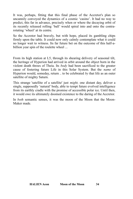It was, perhaps, fitting that this final phase of the Accretor's plan so uncannily conveyed the dynamics of a cosmic 'casino'. It had no way to predict, this far in advance, precisely when or where the decaying orbit of its recently released rolling 'ball' would spiral into and onto the contrarotating 'wheel' at its centre.

So the Accretor had bravely, but with hope, placed its gambling chips firmly upon the table. It could now only calmly contemplate what it could no longer wait to witness. Its far future bet on the outcome of this half-abillion year spin of the roulette wheel ...

From its high station at L5, through its shearing delivery of seasonal tilt, the heritage of Hyperion had arrived in orbit around the object born in the violent death throes of Theia. Its *body* had been sacrificed to the greater cause of fostering future Life in this Solar System. But the *name* of Hyperion would, someday, return .. to be celebrated *by* that life as an outer satellite of mighty Saturn.

This strange 'satellite of a satellite' just *might,* one distant day, deliver a single, supposedly 'natural' body, able to tempt future evolved intelligence from its earthly cradle with the promise of accessible polar ice. Until then, it would owe its ultimately doomed existence to the daring of the Accretor.

In *both* semantic senses, it was the moon of the Moon that the Moon-Maker made.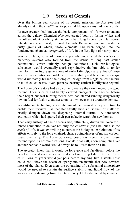#### <span id="page-40-0"></span> **1.9 Seeds of Genesis**

Over the billion year course of its cosmic mission, the Accretor had already created the *conditions* for potential life upon a myriad new worlds.

Its own creators had known the basic components of life were abundant across the galaxy. Chemical *elements* created both by fusion *within,* and the ultra-violent death *of* stellar cores had long been strewn far across interstellar space in vast, primordial clouds. Between, upon and inside the dusty grains of which, those elements had been forged into the fundamental chemical *compounds* of Life in the fiery light of nearby stars*.*

Sooner or later, some of those compounds would seed the surfaces of planetary systems also formed from the debris of long past stellar detonations. Given suitably benign conditions, such pre-biological substances would eventually spark reproductive rhythms able to render their form into future generations of early Life. Upon a rare few of those worlds, the evolutionary enablers of time, stability and biochemical energy would ultimately breach the biological bridge from single-celled bacteria to multi-celled beasts. Even, perhaps, bearing sentient intelligence beyond.

The Accretor's creators had also come to realise their own incredibly good fortune. Their species had barely evolved emergent intelligence, before their bright but fast-burning stellar host had started running dangerously low on fuel for fusion .. and set upon its own, ever more dramatic demise.

Scientific and technological enlightenment had dawned only just in time to enable their survival .. as that star fitfully shed a first shell of matter to briefly dampen down its deepening internal turmoil. A threatened extinction which had spurred their pan-galactic search for new homes.

That early history of their species had, ultimately, driven the Accretor's innate conviction to deliver not only the *conditions for* Life, but also the *seeds of* Life. It was *not* willing to entrust the biological exploitation of its efforts entirely to the long-chained, chance coincidences of mostly carbonbased chemistry. The Accretor, alone, could cast certainty over future fortune upon its cosmic creations. For its final call, upon completing yet another habitable world, would always be to .. "Let there be Life!"

The Accretor knew that it would be long gone and far distant before the new Earth could stand any chance at all of nurturing Life of its own. Tens of millions of years would yet pass before anything like a stable crust could cool above the ocean of openly molten mantle that now covered most of the planet. Even then, the outgassing of a substantial atmosphere would be needed to sustain the surface stability and liquid flow of the water already steaming from its interior, or yet to be delivered by comets.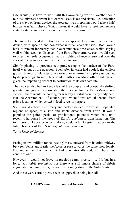Life would just have to wait until this awakening world's weather could rain its universal solvent into oceans, seas, lakes and rivers. So, activation of the *two* wondrous devices the Accretor was preparing would take a halfbillion year 'rain check'. Which meant it would have to seek somewhere suitably stable and safe to store them in the meantime.

The Accretor needed to find two very special locations, one for each device, with specific and somewhat unusual characteristics. Both would have to remain inherently stable over immense timescales, whilst staying well within 'seeding' distance of the Earth. Furthermore, each would need to offer their sole occupant at least a fighting chance of survival over the ages of interplanetary bombardment yet to come.

Simply placing its precious new protégés upon the surface of the Earth itself was out of the question. Even after its crust had cooled, the endless global stirrings of plate tectonics would leave virtually no place untouched by deep geologic turmoil. Nor would Earth's new Moon offer a safe haven, given the impending descent to destruction of its own satellite.

The devices also had to keep clear of the complex and constantly shifting gravitational gradients permeating the space within the Earth-Moon-moon system. There would be no long term safety in orbit around any body here. But the Accretor had, of course, just 'evicted' two orbital tenants from prime locations which *could* indeed serve its purpose.

So, it would entrust its primary and backup devices to two well separated regions of space, at a safe and stable distance from Earth. It would populate the paired peaks of gravitational potential which had, until recently, harboured the seeds of Earth's *geological* transformation. The twin lairs of Lagrange which, alone, could offer long-term safety to the future bringers of Earth's *biological* transformation.

To its *Seeds of Genesis*.

Easing its two million tonne 'resting' mass outward from its orbit, midway between Venus and Earth, the Accretor rose towards the same, now lonely, Lagrangian lair from which it had gravitationally seduced Theia, just centuries ago.

However, it would not leave its precious cargo precisely *at* L4, but in a long, lazy 'orbit' *around* it. For there was still ample chance of debris aggregation within this region over the coming story of the Solar System.

And these were certainly *not* seeds to appreciate being buried!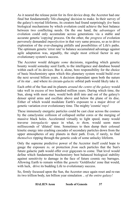As it neared the release point for its first device drop, the Accretor had one final but fundamentally 'life-changing' decision to make. In their survey of the galaxy's myriad lifeforms, its creators had found surprisingly *few* basic biological mechanisms by which evolution could achieve the best balance between two conflicting needs. On the one hand, the *advantages* of evolution could only accumulate across generations via a stable and accurate genetic 'copying' process. On the other, the *progress* of evolution perversely demanded *imperfection* in that very same process, so as to drive exploration of the ever-changing pitfalls and possibilities of Life's paths. The optimum genetic 'error rate' to balance accumulated advantage against agile adaptation was, arguably, the single most critical factor in any evolutionary system's success.

The Accretor would delegate *some* decisions, regarding which genetic bounty would someday seed Earth, to the intelligence and database bound within each of its devices. But it, alone, bore responsibility for the choice of basic biochemistry upon which this planetary system would build over the next several billion years. A decision dependant upon both the nature of its star .. and where its circum-*galactic* orbital path would likely take it.

Each orbit of the Sun and its planets *around the centre of the galaxy* would take well in excess of two hundred million years. During which time, the Sun, along with most stars, would both drift into and out of the galaxy's denser spiral arms and oscillate above and below the plane of its disc. Either of which would modulate Earth's exposure to a major driver of genetic variation over evolutionary time. The mighty 'cosmic' rays!

These immensely energetic particles could be cast clear across the cosmos by the cataclysmic collision of collapsed stellar cores or the merging of massive black holes. Accelerated virtually to light speed, many would traverse *intergalactic* space in what, *to them,* would seem mere milliseconds of 'dilated' time. Sometimes to then dump their colossal kinetic energy into crashing cascades of secondary particles down from the upper atmospheres of any planets in their path. Even, if rarely, to find *themselves* ripping through the genetic code of some unlucky lifeform.

Only the supreme predictive power of the Accretor itself could hope to gauge the exposure *to,* or protection *from* such particles that the Sun's future galactic path would offer over gigayears to come. That level would define which fundamental biochemistry best balanced biological stability against sensitivity to damage in the face of future cosmic ray barrages. Allowing Earth to remain within the *genetic* 'Goldilocks' zone that would, with luck, drive its budding Life to evolutionary success.

So, firmly focussed upon the Sun, the Accretor once again reset and re-ran its two trillion body, ten billion year simulation .. *of the entire galaxy!*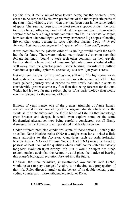By this time it really *should* have known better, but the Accretor never ceased to be surprised by its own predictions of the future galactic paths of the stars it had visited .. even when they had been born in the same region of space. The Sun had been just the latest stellar stopover on its little local tour of a huge, collapsing cloud of interstellar gas and dust .. from which several other solar siblings would yet burst into life. Its next stellar target, born less than a hundred light-years away, harboured high hopes of hosting life on what would become its *three* habitable planets. *Upon which the Accretor had chosen to confer a truly spectacular orbital configuration*.

It was possible that the galactic orbit of its siblings would match the Sun's into the far future. There were, indeed, many sizeable clusters of stars that felt gravitationally bound to keep each other company on their travels. Further afield, a huge 'halo' of immense 'globular clusters' orbited often well away from the galactic plane .. some binding upwards of a million stars into a sparkling, spherical spectacle just a few light-years across.

But most simulations for its *previous* star, still only fifty light-years away, had predicted a dramatically divergent path over the course of its life. That star's galactic journey would expose its two newly habitable planets to considerably greater cosmic ray flux than that being forecast for the Sun. Which had led to a far more robust choice of its basic biology than would soon be selected for the seeding of Earth.

Billions of years hence, one of the greatest triumphs of future human science would be its unravelling of the organic strands which wove the sterile stuff of chemistry into the fertile fabric of Life. As that knowledge grew broader and deeper, it would even explore some of the same biochemical alternatives now being carefully considered, but all firmly dismissed by the Accretor .. as it pondered that fateful decision.

Under different predicted conditions, some of those options .. notably the so-called Xeno-Nucleic Acids (XNAs) .. might even have looked a little more attractive to the Accretor*.* Candidates such as Anhydrohexitol Nucleic Acid (HNA) and Threose Nucleic Acid (TNA) would be found to possess at least *some* of the qualities which could confer stable but steady long-term evolution upon earthly Life*.* But it would be upon *two* other, related, nucleic acids that the Accretor would place the burden of bearing this planet's biological evolution forward into the future.

Of those, the more primitive, single-stranded *Ribo*nucleic Acid (RNA) would be cast to play a range of vital roles in the dramatic propagation of that life*.* Roles directed largely at the behest of its double-helical, genecoding counterpart .. *Deoxy*ribonucleic Acid, or DNA*.*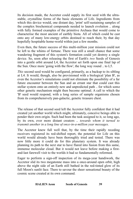Its decision made, the Accretor could supply its first seed with the ultrastable, crystalline forms of the basic elements of Life. Ingredients from which this device would, one distant day, 'print' self-sustaining samples of the complex biochemical compounds needed to launch evolution .. along with fully formed examples of the primitive Archaea that would come to characterise the most ancient of earthly biota*.* All of which could be cast onto any of many low-energy orbits destined to reach their, by that day hopefully hospitable home-world within just a few months.

Even then, the future success of this multi-million year mission could not be left to the whims of fortune. There was still a small chance that some wandering fragment of this system's formation could yet destroy a single device. So, soon after releasing the first of Earth's *two* Seeds of Genesis into a gentle orbit around L4, the Accretor set forth upon one final lap of the Sun. Once more 'going with the flow', the long way round .. to L5.

*This* second seed would be configured, primarily, as a backup to its sibling at L4. It would, though, also be provisioned with a biological 'plan B', as even the Accretor's simulations could not eliminate the possibility of a far future encounter between the Sun and an errant star that could cast this stellar system onto an entirely new and unpredicted path .. for which some other genetic mechanism might then become optimal. A call to which the 'B' seed would respond, with a long series of sample organisms chosen from its comprehensively pan-galactic, genetic treasure chest.

The release of that second seed left the Accretor fully confident that it had created yet another world which might, ultimately, conceive beings able to ponder their own origin. Such had been the task assigned to it, so long ago, by its own, ever more distant creators .. *towards whom it turned to transmit another in a long line of once-in-a-million year messages.*

The Accretor knew full well that, by the time their rapidly receding receivers registered its red-shifted report, the potential for Life on this world would already have been thoroughly tried and tested. There was now little more it could do for this planetary system. It was already planning its path to the next star to have flared into fusion from this same, immense molecular cloud. But it would not leave before making a firstand-last farewell visit to the worlds it had so fundamentally reformed.

Eager to perform a sign-off inspection of its mega-year handiwork, the Accretor slid its two megatonne mass into a once-around open orbit, high above the night side of an Earth still bathed in the red-tinted glow of its full Moon's sunlit face. There to savour the sheer sensational beauty of the cosmic scene created at its own command.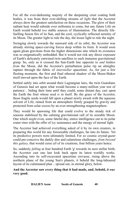For all the ever-darkening majesty of the deepening crust coating both bodies, it was from their ever-shifting streams of *light* that the Accretor always drew the greatest satisfaction on these occasions. The glow of their radiant heat would subside over millennia to come, but any future Life on Earth would behold *two* stable sources of illumination. The directly lifefuelling fusion fire of its Sun, and the cool, cyclically reflected serenity of its Moon. The greater light to rule the day, the lesser light to rule the night.

Swinging slowly towards the sunward side of its orbit, the Accretor was already stirring space-curving forces deep within its form. It would soon again glean gravitons from the higher dimensions into which its existence was so enigmatically embedded. But it would not risk any direct exposure of Earth's delicately entwined twin satellites to such immense gravitational grasp. So, only as it crossed the Sun-Earth line opposite to *and hidden from* the Moon, did the Accretor's perturbation pulse rip an almighty rupture through the fabric of *interstellar* spacetime. As, for just a few fleeting moments, the first and final ethereal shadow of the Moon-Maker itself moved upon the face of the Earth.

Settled safely into orbit around their Lagrangian lairs, the twin Guardians of Genesis had set upon what would become a many-million year test of patience .. biding their time until they could, some distant day, cast upon the Earth the fruit whose seed *is* in itself. By the grace of the Accretor, those fragile seeds would fall upon a planet newly awash with the aqueous solvent of Life, rained from an atmosphere firmly grasped by gravity and protected from solar excess by an ever-strengthening magnetosphere.

They would be spawning life that could evolve to the steady tick of seasons stabilised by the calming gravitational call of its sizeable Moon. One which *might* even, some fateful day, entice intelligence out to its polar crater rims with the offer of icy sustenance and the energy of eternal light.

The Accretor had achieved everything asked of it by its own creators, in preparing this world for any foreseeable challenges, far into its future. Yet its predictive powers were ultimately limited. For *no* cosmic crystal-gazer could pre-conceive the darkly dire and calamitous challenges, *from beyond this galaxy,* that would curse *all* of its creations, four billion years hence.

So, suddenly *falling* at four hundred Earth 'g' towards its next stellar birth, the Accretor cast one last look back upon its latest worldly works. Ascending into its self-excavated spacetime crevasse, rising above the northern plane of the young Sun's planets, it beheld the long-laboured layout of its culminated plan .. spread out, in eternal glory, below.

#### **And the Accretor saw every thing that it had made, and, behold,** *it was* **very good.**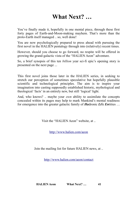## <span id="page-46-0"></span>**What Next? …**

You've finally made it, hopefully in one mental piece, through these first forty pages of Earth-and-Moon-making mayhem. That's more than the proto-Earth itself managed .. so, well done!

You are now psychologically prepared to press ahead with pursuing the first novel in the HALIEN pentalogy through into (relatively) recent times.

However, should you choose to go forward, no respite will be offered in growing the grand-galactic vista of the "HALIEN Aeon" adventure.

So, a brief synopsis of this ten *billion* year sci-fi epic's opening story is presented on the next page ...

This first novel joins those later in the HALIEN series, in seeking to stretch our perception of sometimes speculative but hopefully plausible scientific and technological principles. The aim is to inspire your imagination into casting supposedly established historic, mythological and theological 'facts' in an entirely new, but still 'logical' light.

And, who knows? .. maybe your *own* ability to assimilate the concepts concealed within its pages may help to mark Mankind's mental readiness for emergence into the greater galactic family of *Ha*dronic *Li*fe *En*tities …

Visit the "HALIEN Aeon" website, at ..

<http://www.halien.com/aeon>

Join the mailing list for future HALIEN news, at ..

<http://www.halien.com/aeon/contact>